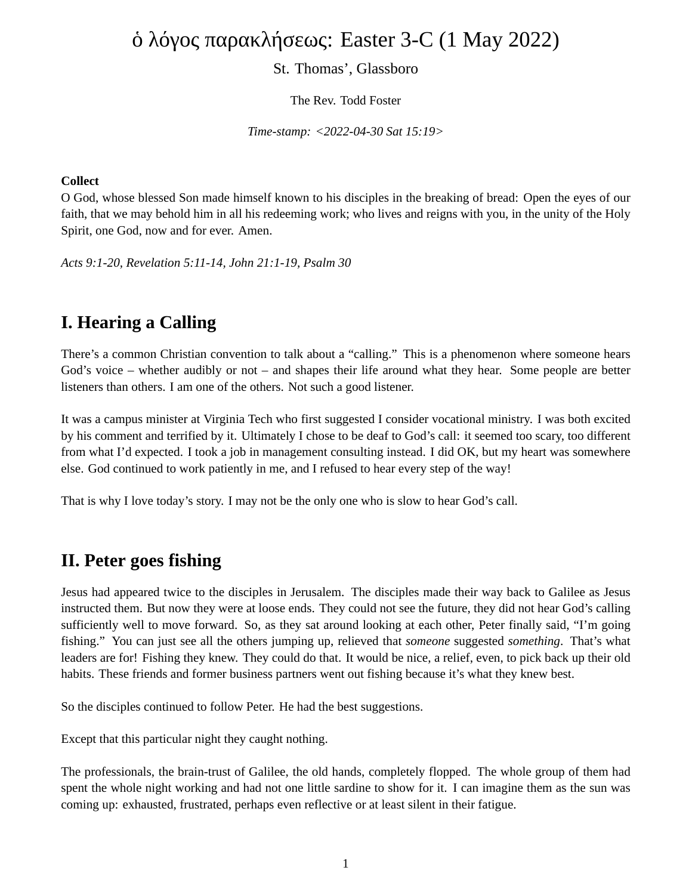# ὁ λόγος παρακλήσεως: Easter 3-C (1 May 2022)

#### St. Thomas', Glassboro

The Rev. Todd Foster

*Time-stamp: <2022-04-30 Sat 15:19>*

#### **Collect**

O God, whose blessed Son made himself known to his disciples in the breaking of bread: Open the eyes of our faith, that we may behold him in all his redeeming work; who lives and reigns with you, in the unity of the Holy Spirit, one God, now and for ever. Amen.

*Acts 9:1-20, Revelation 5:11-14, John 21:1-19, Psalm 30*

## **I. Hearing a Calling**

There's a common Christian convention to talk about a "calling." This is a phenomenon where someone hears God's voice – whether audibly or not – and shapes their life around what they hear. Some people are better listeners than others. I am one of the others. Not such a good listener.

It was a campus minister at Virginia Tech who first suggested I consider vocational ministry. I was both excited by his comment and terrified by it. Ultimately I chose to be deaf to God's call: it seemed too scary, too different from what I'd expected. I took a job in management consulting instead. I did OK, but my heart was somewhere else. God continued to work patiently in me, and I refused to hear every step of the way!

That is why I love today's story. I may not be the only one who is slow to hear God's call.

#### **II. Peter goes fishing**

Jesus had appeared twice to the disciples in Jerusalem. The disciples made their way back to Galilee as Jesus instructed them. But now they were at loose ends. They could not see the future, they did not hear God's calling sufficiently well to move forward. So, as they sat around looking at each other, Peter finally said, "I'm going fishing." You can just see all the others jumping up, relieved that *someone* suggested *something*. That's what leaders are for! Fishing they knew. They could do that. It would be nice, a relief, even, to pick back up their old habits. These friends and former business partners went out fishing because it's what they knew best.

So the disciples continued to follow Peter. He had the best suggestions.

Except that this particular night they caught nothing.

The professionals, the brain-trust of Galilee, the old hands, completely flopped. The whole group of them had spent the whole night working and had not one little sardine to show for it. I can imagine them as the sun was coming up: exhausted, frustrated, perhaps even reflective or at least silent in their fatigue.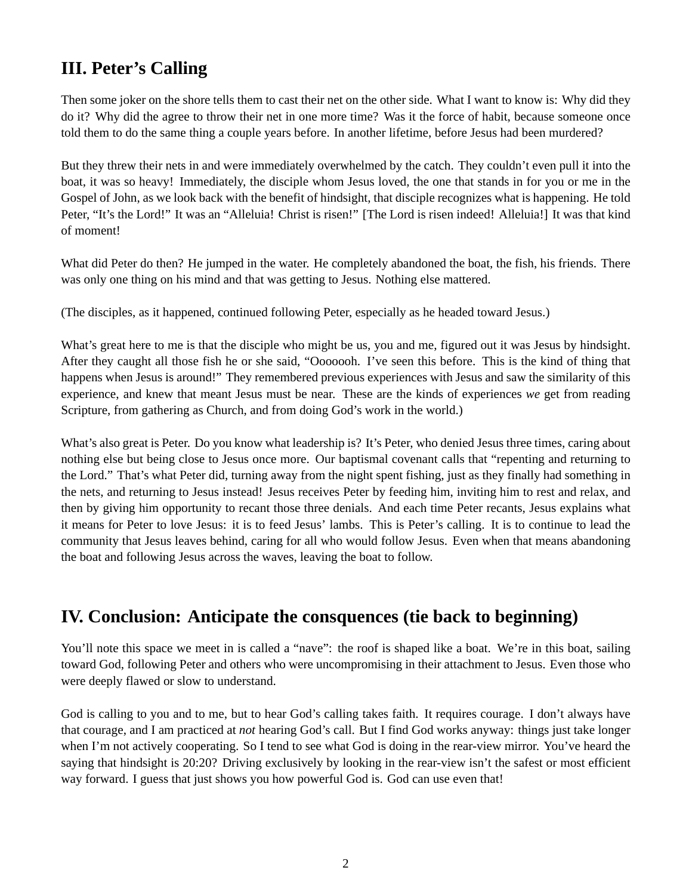## **III. Peter's Calling**

Then some joker on the shore tells them to cast their net on the other side. What I want to know is: Why did they do it? Why did the agree to throw their net in one more time? Was it the force of habit, because someone once told them to do the same thing a couple years before. In another lifetime, before Jesus had been murdered?

But they threw their nets in and were immediately overwhelmed by the catch. They couldn't even pull it into the boat, it was so heavy! Immediately, the disciple whom Jesus loved, the one that stands in for you or me in the Gospel of John, as we look back with the benefit of hindsight, that disciple recognizes what is happening. He told Peter, "It's the Lord!" It was an "Alleluia! Christ is risen!" [The Lord is risen indeed! Alleluia!] It was that kind of moment!

What did Peter do then? He jumped in the water. He completely abandoned the boat, the fish, his friends. There was only one thing on his mind and that was getting to Jesus. Nothing else mattered.

(The disciples, as it happened, continued following Peter, especially as he headed toward Jesus.)

What's great here to me is that the disciple who might be us, you and me, figured out it was Jesus by hindsight. After they caught all those fish he or she said, "Ooooooh. I've seen this before. This is the kind of thing that happens when Jesus is around!" They remembered previous experiences with Jesus and saw the similarity of this experience, and knew that meant Jesus must be near. These are the kinds of experiences *we* get from reading Scripture, from gathering as Church, and from doing God's work in the world.)

What's also great is Peter. Do you know what leadership is? It's Peter, who denied Jesus three times, caring about nothing else but being close to Jesus once more. Our baptismal covenant calls that "repenting and returning to the Lord." That's what Peter did, turning away from the night spent fishing, just as they finally had something in the nets, and returning to Jesus instead! Jesus receives Peter by feeding him, inviting him to rest and relax, and then by giving him opportunity to recant those three denials. And each time Peter recants, Jesus explains what it means for Peter to love Jesus: it is to feed Jesus' lambs. This is Peter's calling. It is to continue to lead the community that Jesus leaves behind, caring for all who would follow Jesus. Even when that means abandoning the boat and following Jesus across the waves, leaving the boat to follow.

#### **IV. Conclusion: Anticipate the consquences (tie back to beginning)**

You'll note this space we meet in is called a "nave": the roof is shaped like a boat. We're in this boat, sailing toward God, following Peter and others who were uncompromising in their attachment to Jesus. Even those who were deeply flawed or slow to understand.

God is calling to you and to me, but to hear God's calling takes faith. It requires courage. I don't always have that courage, and I am practiced at *not* hearing God's call. But I find God works anyway: things just take longer when I'm not actively cooperating. So I tend to see what God is doing in the rear-view mirror. You've heard the saying that hindsight is 20:20? Driving exclusively by looking in the rear-view isn't the safest or most efficient way forward. I guess that just shows you how powerful God is. God can use even that!